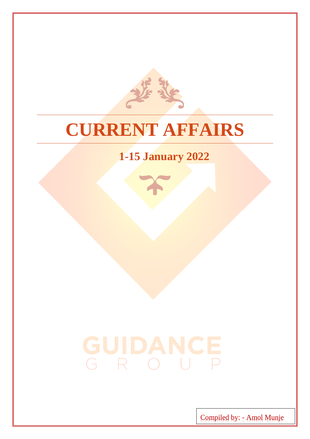

### **CURRENT AFFAIRS**

### **1-15 January 2022**

# GUIDANCE

Compiled by: - Amol Munje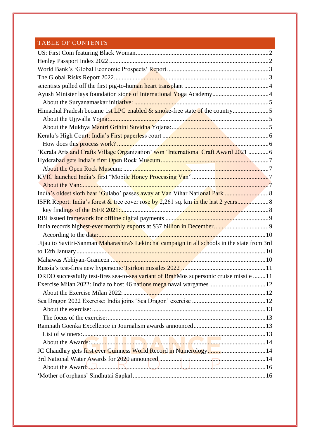#### TABLE OF CONTENTS

<span id="page-1-0"></span>

| 'Kerala Arts and Crafts Village Organization' won 'International Craft Award 2021 6            |  |
|------------------------------------------------------------------------------------------------|--|
|                                                                                                |  |
|                                                                                                |  |
|                                                                                                |  |
|                                                                                                |  |
|                                                                                                |  |
|                                                                                                |  |
|                                                                                                |  |
|                                                                                                |  |
|                                                                                                |  |
|                                                                                                |  |
| 'Jijau to Savitri-Sanman Maharashtra's Lekincha' campaign in all schools in the state from 3rd |  |
|                                                                                                |  |
|                                                                                                |  |
|                                                                                                |  |
| DRDO successfully test-fires sea-to-sea variant of BrahMos supersonic cruise missile 11        |  |
| Exercise Milan 2022: India to host 46 nations mega naval wargames  12                          |  |
|                                                                                                |  |
|                                                                                                |  |
|                                                                                                |  |
|                                                                                                |  |
|                                                                                                |  |
|                                                                                                |  |
|                                                                                                |  |
|                                                                                                |  |
|                                                                                                |  |
| About the Award 16                                                                             |  |
|                                                                                                |  |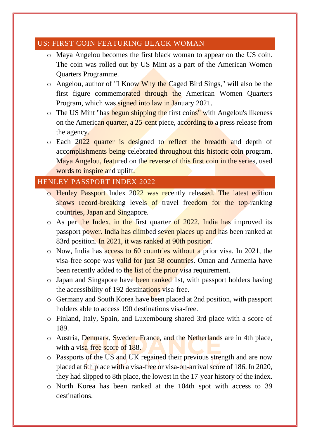#### US: FIRST COIN FEATURING BLACK WOMAN

- o Maya Angelou becomes the first black woman to appear on the US coin. The coin was rolled out by US Mint as a part of the American Women Quarters Programme.
- o Angelou, author of "I Know Why the Caged Bird Sings," will also be the first figure commemorated through the American Women Quarters Program, which was signed into law in January 2021.
- o The US Mint "has begun shipping the first coins" with Angelou's likeness on the American quarter, a 25-cent piece, according to a press release from the agency.
- o Each 2022 quarter is designed to reflect the breadth and depth of accomplishments being celebrated throughout this historic coin program. Maya Angelou, featured on the reverse of this first coin in the series, used words to inspire and uplift.

#### <span id="page-2-0"></span>HENLEY PASSPORT INDEX 2022

- o Henley Passport Index 2022 was recently released. The latest edition shows record-breaking levels of travel freedom for the top-ranking countries, Japan and Singapore.
- o As per the Index, in the first quarter of 2022, India has improved its passport power. India has climbed seven places up and has been ranked at 83rd position. In 2021, it was ranked at 90th position.
- o Now, India has access to 60 countries without a prior visa. In 2021, the visa-free scope was valid for just 58 countries. Oman and Armenia have been recently added to the list of the prior visa requirement.
- o Japan and Singapore have been ranked 1st, with passport holders having the accessibility of 192 destinations visa-free.
- o Germany and South Korea have been placed at 2nd position, with passport holders able to access 190 destinations visa-free.
- o Finland, Italy, Spain, and Luxembourg shared 3rd place with a score of 189.
- o Austria, Denmark, Sweden, France, and the Netherlands are in 4th place, with a visa-free score of 188.
- o Passports of the US and UK regained their previous strength and are now placed at 6th place with a visa-free or visa-on-arrival score of 186. In 2020, they had slipped to 8th place, the lowest in the 17-year history of the index.
- o North Korea has been ranked at the 104th spot with access to 39 destinations.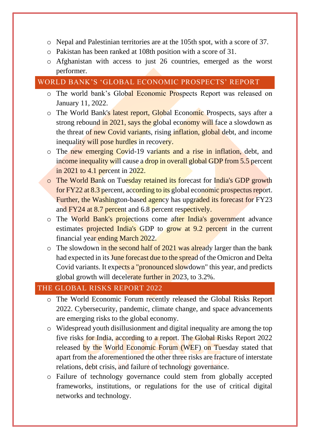- o Nepal and Palestinian territories are at the 105th spot, with a score of 37.
- o Pakistan has been ranked at 108th position with a score of 31.
- o Afghanistan with access to just 26 countries, emerged as the worst performer.

#### <span id="page-3-0"></span>WORLD BANK'S 'GLOBAL ECONOMIC PROSPECTS' REPORT

- o The world bank's Global Economic Prospects Report was released on January 11, 2022.
- o The World Bank's latest report, Global Economic Prospects, says after a strong rebound in 2021, says the global economy will face a slowdown as the threat of new Covid variants, rising inflation, global debt, and income inequality will pose hurdles in recovery.
- o The new emerging Covid-19 variants and a rise in inflation, debt, and income inequality will cause a drop in overall global GDP from 5.5 percent in 2021 to 4.1 percent in 2022.
- o The World Bank on Tuesday retained its forecast for India's GDP growth for FY22 at 8.3 percent, according to its global economic prospectus report. Further, the Washington-based agency has upgraded its forecast for FY23 and FY24 at 8.7 percent and 6.8 percent respectively.
- o The World Bank's projections come after India's government advance estimates projected India's GDP to grow at 9.2 percent in the current financial year ending March 2022.
- $\circ$  The slowdown in the second half of 2021 was already larger than the bank had expected in its June forecast due to the spread of the Omicron and Delta Covid variants. It expects a "pronounced slowdown" this year, and predicts global growth will decelerate further in 2023, to 3.2%.

#### <span id="page-3-1"></span>THE GLOBAL RISKS REPORT 2022

- o The World Economic Forum recently released the Global Risks Report 2022. Cybersecurity, pandemic, climate change, and space advancements are emerging risks to the global economy.
- o Widespread youth disillusionment and digital inequality are among the top five risks for India, according to a report. The Global Risks Report 2022 released by the World Economic Forum (WEF) on Tuesday stated that apart from the aforementioned the other three risks are fracture of interstate relations, debt crisis, and failure of technology governance.
- o Failure of technology governance could stem from globally accepted frameworks, institutions, or regulations for the use of critical digital networks and technology.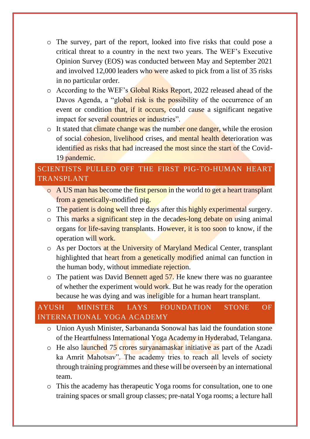- o The survey, part of the report, looked into five risks that could pose a critical threat to a country in the next two years. The WEF's Executive Opinion Survey (EOS) was conducted between May and September 2021 and involved 12,000 leaders who were asked to pick from a list of 35 risks in no particular order.
- o According to the WEF's Global Risks Report, 2022 released ahead of the Davos Agenda, a "global risk is the possibility of the occurrence of an event or condition that, if it occurs, could cause a significant negative impact for several countries or industries".
- $\circ$  It stated that climate change was the number one danger, while the erosion of social cohesion, livelihood crises, and mental health deterioration was identified as risks that had increased the most since the start of the Covid-19 pandemic.

#### <span id="page-4-0"></span>SCIENTISTS PULLED OFF THE FIRST PIG-TO-HUMAN HEART TRANSPLANT

- o A US man has become the first person in the world to get a heart transplant from a genetically-modified pig.
- $\circ$  The patient is doing well three days after this highly experimental surgery.
- o This marks a significant step in the decades-long debate on using animal organs for life-saving transplants. However, it is too soon to know, if the operation will work.
- o As per Doctors at the University of Maryland Medical Center, transplant highlighted that heart from a genetically modified animal can function in the human body, without immediate rejection.
- $\circ$  The patient was David Bennett aged 57. He knew there was no guarantee of whether the experiment would work. But he was ready for the operation because he was dying and was ineligible for a human heart transplant.

#### <span id="page-4-1"></span>AYUSH MINISTER LAYS FOUNDATION STONE OF INTERNATIONAL YOGA ACADEMY

- o Union Ayush Minister, Sarbananda Sonowal has laid the foundation stone of the Heartfulness International Yoga Academy in Hyderabad, Telangana.
- o He also launched 75 crores suryanamaskar initiative as part of the Azadi ka Amrit Mahotsav". The academy tries to reach all levels of society through training programmes and these will be overseen by an international team.
- o This the academy has therapeutic Yoga rooms for consultation, one to one training spaces or small group classes; pre-natal Yoga rooms; a lecture hall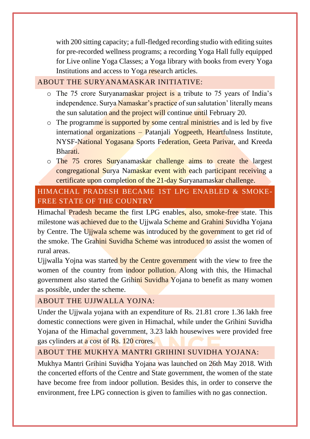with 200 sitting capacity; a full-fledged recording studio with editing suites for pre-recorded wellness programs; a recording Yoga Hall fully equipped for Live online Yoga Classes; a Yoga library with books from every Yoga Institutions and access to Yoga research articles.

#### <span id="page-5-0"></span>ABOUT THE SURYANAMASKAR INITIATIVE:

- o The 75 crore Suryanamaskar project is a tribute to 75 years of India's independence. Surya Namaskar's practice of sun salutation' literally means the sun salutation and the project will continue until February 20.
- o The programme is supported by some central ministries and is led by five international organizations – Patanjali Yogpeeth, Heartfulness Institute, NYSF-National Yogasana Sports Federation, Geeta Parivar, and Kreeda Bharati.
- o The 75 crores Suryanamaskar challenge aims to create the largest congregational Surya Namaskar event with each participant receiving a certificate upon completion of the 21-day Suryanamaskar challenge.

#### <span id="page-5-1"></span>HIMACHAL PRADESH BECAME 1ST LPG ENABLED & SMOKE-FREE STATE OF THE COUNTRY

Himachal Pradesh became the first LPG enables, also, smoke-free state. This milestone was achieved due to the Ujjwala Scheme and Grahini Suvidha Yojana by Centre. The Ujjwala scheme was introduced by the government to get rid of the smoke. The Grahini Suvidha Scheme was introduced to assist the women of rural areas.

Ujjwalla Yojna was started by the Centre government with the view to free the women of the country from indoor pollution. Along with this, the Himachal government also started the Grihini Suvidha Yojana to benefit as many women as possible, under the scheme.

#### <span id="page-5-2"></span>ABOUT THE UJJWALLA YOJNA:

Under the Ujjwala yojana with an expenditure of Rs. 21.81 crore 1.36 lakh free domestic connections were given in Himachal, while under the Grihini Suvidha Yojana of the Himachal government, 3.23 lakh housewives were provided free gas cylinders at a cost of Rs. 120 crores.

#### <span id="page-5-3"></span>ABOUT THE MUKHYA MANTRI GRIHINI SUVIDHA YOJANA:

Mukhya Mantri Grihini Suvidha Yojana was launched on 26th May 2018. With the concerted efforts of the Centre and State government, the women of the state have become free from indoor pollution. Besides this, in order to conserve the environment, free LPG connection is given to families with no gas connection.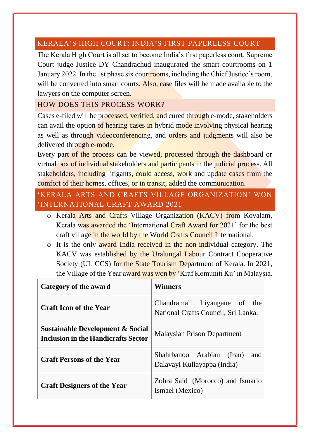#### <span id="page-6-0"></span>KERALA'S HIGH COURT: INDIA'S FIRST PAPERLESS COURT

The Kerala High Court is all set to become India's first paperless court. Supreme Court judge Justice DY Chandrachud inaugurated the smart courtrooms on 1 January 2022. In the 1st phase six courtrooms, including the Chief Justice's room, will be converted into smart courts. Also, case files will be made available to the lawyers on the computer screen.

#### <span id="page-6-1"></span>HOW DOES THIS PROCESS WORK?

Cases e-filed will be processed, verified, and cured through e-mode, stakeholders can avail the option of hearing cases in hybrid mode involving physical hearing as well as through videoconferencing, and orders and judgments will also be delivered through e-mode.

Every part of the process can be viewed, processed through the dashboard or virtual box of individual stakeholders and participants in the judicial process. All stakeholders, including litigants, could access, work and update cases from the comfort of their homes, offices, or in transit, added the communication.

#### <span id="page-6-2"></span>'KERALA ARTS AND CRAFTS VILLAGE ORGANIZATION' WON 'INTERNATIONAL CRAFT AWARD 2021

- o Kerala Arts and Crafts Village Organization (KACV) from Kovalam, Kerala was awarded the 'International Craft Award for 2021' for the best craft village in the world by the World Crafts Council International.
- o It is the only award India received in the non-individual category. The KACV was established by the Uralungal Labour Contract Cooperative Society (UL CCS) for the State Tourism Department of Kerala. In 2021, the Village of the Year award was won by 'Kraf Komuniti Ku' in Malaysia.

| Category of the award                                                                     | Winners                                                             |
|-------------------------------------------------------------------------------------------|---------------------------------------------------------------------|
| <b>Craft Icon of the Year</b>                                                             | Chandramali Liyangane of the<br>National Crafts Council, Sri Lanka. |
| <b>Sustainable Development &amp; Social</b><br><b>Inclusion in the Handicrafts Sector</b> | <b>Malaysian Prison Department</b>                                  |
| <b>Craft Persons of the Year</b>                                                          | Shahrbanoo Arabian (Iran)<br>and<br>Dalavayi Kullayappa (India)     |
| <b>Craft Designers of the Year</b>                                                        | Zohra Said (Morocco) and Ismario<br>Ismael (Mexico)                 |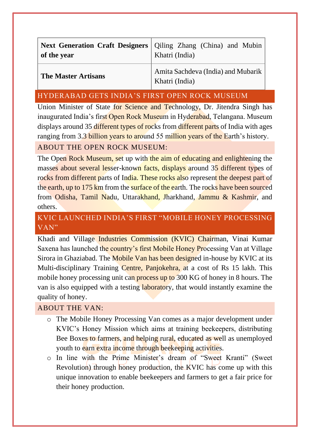| Next Generation Craft Designers   Qiling Zhang (China) and Mubin<br>of the year | Khatri (India)                                       |
|---------------------------------------------------------------------------------|------------------------------------------------------|
| <b>The Master Artisans</b>                                                      | Amita Sachdeva (India) and Mubarik<br>Khatri (India) |

#### <span id="page-7-0"></span>HYDERABAD GETS INDIA'S FIRST OPEN ROCK MUSEUM

Union Minister of State for Science and Technology, Dr. Jitendra Singh has inaugurated India's first Open Rock Museum in Hyderabad, Telangana. Museum displays around 35 different types of rocks from different parts of India with ages ranging from 3.3 billion years to around 55 million years of the Earth's history.

#### <span id="page-7-1"></span>ABOUT THE OPEN ROCK MUSEUM:

The Open Rock Museum, set up with the aim of educating and enlightening the masses about several lesser-known facts, displays around 35 different types of rocks from different parts of India. These rocks also represent the deepest part of the earth, up to 175 km from the surface of the earth. The rocks have been sourced from Odisha, Tamil Nadu, Uttarakhand, Jharkhand, Jammu & Kashmir, and others.

#### <span id="page-7-2"></span>KVIC LAUNCHED INDIA'S FIRST "MOBILE HONEY PROCESSING VAN"

Khadi and Village Industries Commission (KVIC) Chairman, Vinai Kumar Saxena has launched the country's first Mobile Honey Processing Van at Village Sirora in Ghaziabad. The Mobile Van has been designed in-house by KVIC at its Multi-disciplinary Training Centre, Panjokehra, at a cost of Rs 15 lakh. This mobile honey processing unit can process up to 300 KG of honey in 8 hours. The van is also equipped with a testing laboratory, that would instantly examine the quality of honey.

#### <span id="page-7-3"></span>ABOUT THE VAN:

- o The Mobile Honey Processing Van comes as a major development under KVIC's Honey Mission which aims at training beekeepers, distributing Bee Boxes to farmers, and helping rural, educated as well as unemployed youth to earn extra income through beekeeping activities.
- o In line with the Prime Minister's dream of "Sweet Kranti" (Sweet Revolution) through honey production, the KVIC has come up with this unique innovation to enable beekeepers and farmers to get a fair price for their honey production.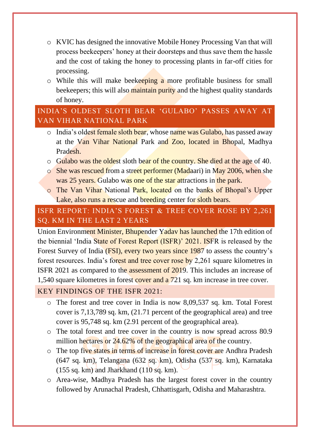- o KVIC has designed the innovative Mobile Honey Processing Van that will process beekeepers' honey at their doorsteps and thus save them the hassle and the cost of taking the honey to processing plants in far-off cities for processing.
- o While this will make beekeeping a more profitable business for small beekeepers; this will also maintain purity and the highest quality standards of honey.

#### <span id="page-8-0"></span>INDIA'S OLDEST SLOTH BEAR 'GULABO' PASSES AWAY AT VAN VIHAR NATIONAL PARK

- o India's oldest female sloth bear, whose name was Gulabo, has passed away at the Van Vihar National Park and Zoo, located in Bhopal, Madhya Pradesh.
- o Gulabo was the oldest sloth bear of the country. She died at the age of 40.
- o She was rescued from a street performer (Madaari) in May 2006, when she was 25 years. Gulabo was one of the star attractions in the park.
- o The Van Vihar National Park, located on the banks of Bhopal's Upper Lake, also runs a rescue and breeding center for sloth bears.

#### <span id="page-8-1"></span>ISFR REPORT: INDIA'S FOREST & TREE COVER ROSE BY 2,261 SQ. KM IN THE LAST 2 YEARS

Union Environment Minister, Bhupender Yadav has launched the 17th edition of the biennial 'India State of Forest Report (ISFR)' 2021. ISFR is released by the Forest Survey of India (FSI), every two years since 1987 to assess the country's forest resources. India's forest and tree cover rose by 2,261 square kilometres in ISFR 2021 as compared to the assessment of 2019. This includes an increase of 1,540 square kilometres in forest cover and a 721 sq. km increase in tree cover.

#### <span id="page-8-2"></span>KEY FINDINGS OF THE ISFR 2021:

- o The forest and tree cover in India is now 8,09,537 sq. km. Total Forest cover is 7,13,789 sq. km, (21.71 percent of the geographical area) and tree cover is 95,748 sq. km (2.91 percent of the geographical area).
- o The total forest and tree cover in the country is now spread across 80.9 million hectares or 24.62% of the geographical area of the country.
- o The top five states in terms of increase in forest cover are Andhra Pradesh (647 sq. km), Telangana (632 sq. km), Odisha (537 sq. km), Karnataka  $(155 \text{ sq. km})$  and Jharkhand  $(110 \text{ sq. km})$ .
- o Area-wise, Madhya Pradesh has the largest forest cover in the country followed by Arunachal Pradesh, Chhattisgarh, Odisha and Maharashtra.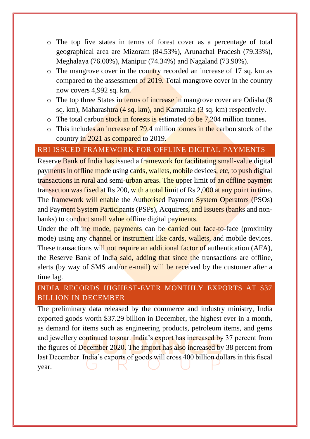- o The top five states in terms of forest cover as a percentage of total geographical area are Mizoram (84.53%), Arunachal Pradesh (79.33%), Meghalaya (76.00%), Manipur (74.34%) and Nagaland (73.90%).
- o The mangrove cover in the country recorded an increase of 17 sq. km as compared to the assessment of 2019. Total mangrove cover in the country now covers 4,992 sq. km.
- o The top three States in terms of increase in mangrove cover are Odisha (8 sq. km), Maharashtra (4 sq. km), and Karnataka (3 sq. km) respectively.
- $\circ$  The total carbon stock in forests is estimated to be 7,204 million tonnes.
- $\circ$  This includes an increase of 79.4 million tonnes in the carbon stock of the country in 2021 as compared to 2019.

#### <span id="page-9-0"></span>RBI ISSUED FRAMEWORK FOR OFFLINE DIGITAL PAYMENTS

Reserve Bank of India has issued a framework for facilitating small-value digital payments in offline mode using cards, wallets, mobile devices, etc, to push digital transactions in rural and semi-urban areas. The upper limit of an offline payment transaction was fixed at Rs 200, with a total limit of Rs 2,000 at any point in time. The framework will enable the Authorised Payment System Operators (PSOs) and Payment System Participants (PSPs), Acquirers, and Issuers (banks and nonbanks) to conduct small value offline digital payments.

Under the offline mode, payments can be carried out face-to-face (proximity mode) using any channel or instrument like cards, wallets, and mobile devices. These transactions will not require an additional factor of authentication (AFA), the Reserve Bank of India said, adding that since the transactions are offline, alerts (by way of SMS and/or e-mail) will be received by the customer after a time lag.

#### <span id="page-9-1"></span>INDIA RECORDS HIGHEST-EVER MONTHLY EXPORTS AT \$37 BILLION IN DECEMBER

The preliminary data released by the commerce and industry ministry, India exported goods worth \$37.29 billion in December, the highest ever in a month, as demand for items such as engineering products, petroleum items, and gems and jewellery continued to soar. India's export has increased by 37 percent from the figures of December 2020. The import has also increased by 38 percent from last December. India's exports of goods will cross 400 billion dollars in this fiscal year.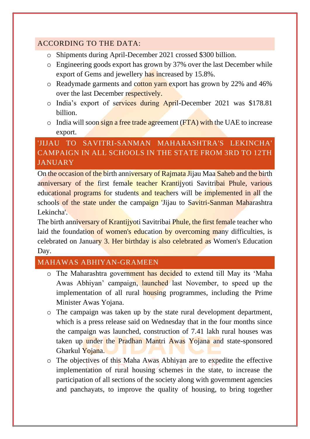#### <span id="page-10-0"></span>ACCORDING TO THE DATA:

- o Shipments during April-December 2021 crossed \$300 billion.
- o Engineering goods export has grown by 37% over the last December while export of Gems and jewellery has increased by 15.8%.
- o Readymade garments and cotton yarn export has grown by 22% and 46% over the last December respectively.
- o India's export of services during April-December 2021 was \$178.81 billion.
- $\circ$  India will soon sign a free trade agreement (FTA) with the UAE to increase export.

#### <span id="page-10-1"></span>'JIJAU TO SAVITRI-SANMAN MAHARASHTRA'S LEKINCHA' CAMPAIGN IN ALL SCHOOLS IN THE STATE FROM 3RD TO 12TH JANUARY

On the occasion of the birth anniversary of Rajmata Jijau Maa Saheb and the birth anniversary of the first female teacher Krantijyoti Savitribai Phule, various educational programs for students and teachers will be implemented in all the schools of the state under the campaign 'Jijau to Savitri-Sanman Maharashtra Lekincha'.

The birth anniversary of Krantijyoti Savitribai Phule, the first female teacher who laid the foundation of women's education by overcoming many difficulties, is celebrated on January 3. Her birthday is also celebrated as Women's Education Day.

#### <span id="page-10-2"></span>MAHAWAS ABHIYAN-GRAMEEN

- o The Maharashtra government has decided to extend till May its 'Maha Awas Abhiyan' campaign, launched last November, to speed up the implementation of all rural housing programmes, including the Prime Minister Awas Yojana.
- o The campaign was taken up by the state rural development department, which is a press release said on Wednesday that in the four months since the campaign was launched, construction of 7.41 lakh rural houses was taken up under the Pradhan Mantri Awas Yojana and state-sponsored Gharkul Yojana.
- o The objectives of this Maha Awas Abhiyan are to expedite the effective implementation of rural housing schemes in the state, to increase the participation of all sections of the society along with government agencies and panchayats, to improve the quality of housing, to bring together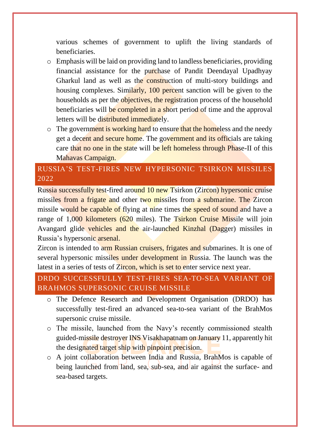various schemes of government to uplift the living standards of beneficiaries.

- o Emphasis will be laid on providing land to landless beneficiaries, providing financial assistance for the purchase of Pandit Deendayal Upadhyay Gharkul land as well as the construction of multi-story buildings and housing complexes. Similarly, 100 percent sanction will be given to the households as per the objectives, the registration process of the household beneficiaries will be completed in a short period of time and the approval letters will be distributed immediately.
- $\circ$  The government is working hard to ensure that the homeless and the needy get a decent and secure home. The government and its officials are taking care that no one in the state will be left homeless through Phase-II of this Mahavas Campaign.

#### <span id="page-11-0"></span>RUSSIA'S TEST-FIRES NEW HYPERSONIC TSIRKON MISSILES 2022

Russia successfully test-fired around 10 new Tsirkon (Zircon) hypersonic cruise missiles from a frigate and other two missiles from a submarine. The Zircon missile would be capable of flying at nine times the speed of sound and have a range of 1,000 kilometers (620 miles). The Tsirkon Cruise Missile will join Avangard glide vehicles and the air-launched Kinzhal (Dagger) missiles in Russia's hypersonic arsenal.

Zircon is intended to arm Russian cruisers, frigates and submarines. It is one of several hypersonic missiles under development in Russia. The launch was the latest in a series of tests of Zircon, which is set to enter service next year.

#### <span id="page-11-1"></span>DRDO SUCCESSFULLY TEST-FIRES SEA-TO-SEA VARIANT OF BRAHMOS SUPERSONIC CRUISE MISSILE

- o The Defence Research and Development Organisation (DRDO) has successfully test-fired an advanced sea-to-sea variant of the BrahMos supersonic cruise missile.
- o The missile, launched from the Navy's recently commissioned stealth guided-missile destroyer INS Visakhapatnam on January 11, apparently hit the designated target ship with pinpoint precision.
- o A joint collaboration between India and Russia, BrahMos is capable of being launched from land, sea, sub-sea, and air against the surface- and sea-based targets.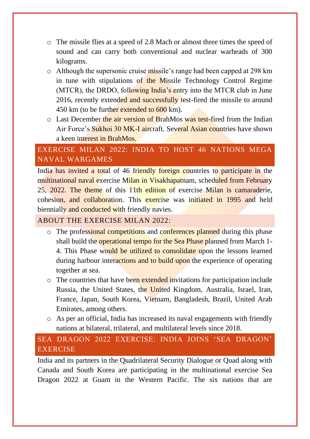- o The missile flies at a speed of 2.8 Mach or almost three times the speed of sound and can carry both conventional and nuclear warheads of 300 kilograms.
- o Although the supersonic cruise missile's range had been capped at 298 km in tune with stipulations of the Missile Technology Control Regime (MTCR), the DRDO, following India's entry into the MTCR club in June 2016, recently extended and successfully test-fired the missile to around 450 km (to be further extended to 600 km).
- $\circ$  Last December the air version of BrahMos was test-fired from the Indian Air Force's Sukhoi 30 MK-I aircraft. Several Asian countries have shown a keen interest in BrahMos.

#### <span id="page-12-0"></span>EXERCISE MILAN 2022: INDIA TO HOST 46 NATIONS MEGA NAVAL WARGAMES

India has invited a total of 46 friendly foreign countries to participate in the multinational naval exercise Milan in Visakhapatnam, scheduled from February 25, 2022. The theme of this 11th edition of exercise Milan is camaraderie, cohesion, and collaboration. This exercise was initiated in 1995 and held biennially and conducted with friendly navies.

#### <span id="page-12-1"></span>ABOUT THE EXERCISE MILAN 2022:

- o The professional competitions and conferences planned during this phase shall build the operational tempo for the Sea Phase planned from March 1-4. This Phase would be utilized to consolidate upon the lessons learned during harbour interactions and to build upon the experience of operating together at sea.
- o The countries that have been extended invitations for participation include Russia, the United States, the United Kingdom, Australia, Israel, Iran, France, Japan, South Korea, Vietnam, Bangladesh, Brazil, United Arab Emirates, among others.
- o As per an official, India has increased its naval engagements with friendly nations at bilateral, trilateral, and multilateral levels since 2018.

#### <span id="page-12-2"></span>SEA DRAGON 2022 EXERCISE: INDIA JOINS 'SEA DRAGON' **EXERCISE**

India and its partners in the Quadrilateral Security Dialogue or Quad along with Canada and South Korea are participating in the multinational exercise Sea Dragon 2022 at Guam in the Western Pacific. The six nations that are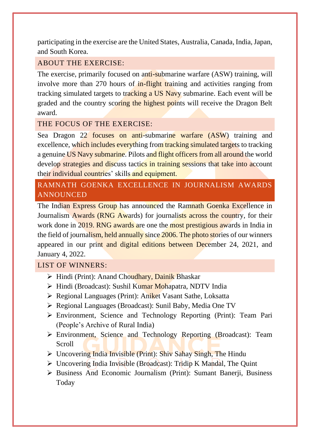participating in the exercise are the United States, Australia, Canada, India, Japan, and South Korea.

#### <span id="page-13-0"></span>ABOUT THE EXERCISE:

The exercise, primarily focused on anti-submarine warfare (ASW) training, will involve more than 270 hours of in-flight training and activities ranging from tracking simulated targets to tracking a US Navy submarine. Each event will be graded and the country scoring the highest points will receive the Dragon Belt award.

#### <span id="page-13-1"></span>THE FOCUS OF THE EXERCISE:

Sea Dragon 22 focuses on anti-submarine warfare (ASW) training and excellence, which includes everything from tracking simulated targets to tracking a genuine US Navy submarine. Pilots and flight officers from all around the world develop strategies and discuss tactics in training sessions that take into account their individual countries' skills and equipment.

#### <span id="page-13-2"></span>RAMNATH GOENKA EXCELLENCE IN JOURNALISM AWARDS ANNOUNCED

The Indian Express Group has announced the Ramnath Goenka Excellence in Journalism Awards (RNG Awards) for journalists across the country, for their work done in 2019. RNG awards are one the most prestigious awards in India in the field of journalism, held annually since 2006. The photo stories of our winners appeared in our print and digital editions between December 24, 2021, and January 4, 2022.

#### <span id="page-13-3"></span>LIST OF WINNERS:

- ➢ Hindi (Print): Anand Choudhary, Dainik Bhaskar
- ➢ Hindi (Broadcast): Sushil Kumar Mohapatra, NDTV India
- ➢ Regional Languages (Print): Aniket Vasant Sathe, Loksatta
- ➢ Regional Languages (Broadcast): Sunil Baby, Media One TV
- ➢ Environment, Science and Technology Reporting (Print): Team Pari (People's Archive of Rural India)
- ➢ Environment, Science and Technology Reporting (Broadcast): Team Scroll
- ➢ Uncovering India Invisible (Print): Shiv Sahay Singh, The Hindu
- $\triangleright$  Uncovering India Invisible (Broadcast): Tridip K Mandal, The Quint
- ➢ Business And Economic Journalism (Print): Sumant Banerji, Business Today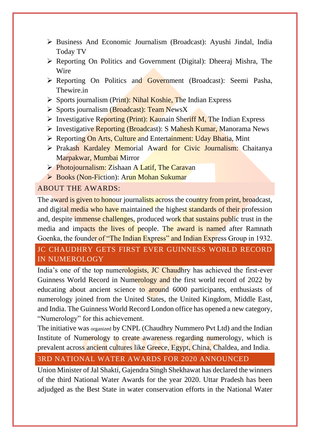- ➢ Business And Economic Journalism (Broadcast): Ayushi Jindal, India Today TV
- ➢ Reporting On Politics and Government (Digital): Dheeraj Mishra, The Wire
- ➢ Reporting On Politics and Government (Broadcast): Seemi Pasha, Thewire.in
- $\triangleright$  Sports journalism (Print): Nihal Koshie, The Indian Express
- $\triangleright$  Sports journalism (Broadcast): Team NewsX
- $\triangleright$  Investigative Reporting (Print): Kaunain Sheriff M, The Indian Express
- ➢ Investigative Reporting (Broadcast): S Mahesh Kumar, Manorama News
- ➢ Reporting On Arts, Culture and Entertainment: Uday Bhatia, Mint
- ➢ Prakash Kardaley Memorial Award for Civic Journalism: Chaitanya Marpakwar, Mumbai Mirror
- ➢ Photojournalism: Zishaan A Latif, The Caravan
- ➢ Books (Non-Fiction): Arun Mohan Sukumar

#### <span id="page-14-0"></span>ABOUT THE AWARDS:

The award is given to honour journalists across the country from print, broadcast, and digital media who have maintained the highest standards of their profession and, despite immense challenges, produced work that sustains public trust in the media and impacts the lives of people. The award is named after Ramnath Goenka, the founder of "The Indian Express" and Indian Express Group in 1932.

#### <span id="page-14-1"></span>JC CHAUDHRY GETS FIRST EVER GUINNESS WORLD RECORD IN NUMEROLOGY

India's one of the top numerologists, JC Chaudhry has achieved the first-ever Guinness World Record in Numerology and the first world record of 2022 by educating about ancient science to around 6000 participants, enthusiasts of numerology joined from the United States, the United Kingdom, Middle East, and India. The Guinness World Record London office has opened a new category, "Numerology" for this achievement.

The initiative was organized by CNPL (Chaudhry Nummero Pvt Ltd) and the Indian Institute of Numerology to create awareness regarding numerology, which is prevalent across ancient cultures like Greece, Egypt, China, Chaldea, and India.

#### <span id="page-14-2"></span>3RD NATIONAL WATER AWARDS FOR 2020 ANNOUNCED

Union Minister of Jal Shakti, Gajendra Singh Shekhawat has declared the winners of the third National Water Awards for the year 2020. Uttar Pradesh has been adjudged as the Best State in water conservation efforts in the National Water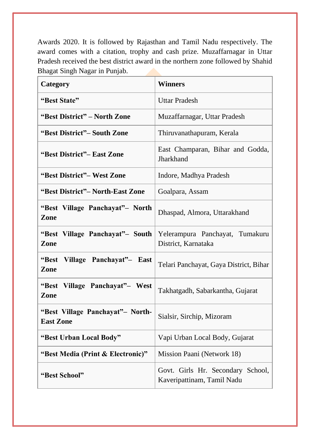Awards 2020. It is followed by Rajasthan and Tamil Nadu respectively. The award comes with a citation, trophy and cash prize. Muzaffarnagar in Uttar Pradesh received the best district award in the northern zone followed by Shahid Bhagat Singh Nagar in Punjab.

| Category                                             | <b>Winners</b>                                                  |
|------------------------------------------------------|-----------------------------------------------------------------|
| "Best State"                                         | <b>Uttar Pradesh</b>                                            |
| "Best District" – North Zone                         | Muzaffarnagar, Uttar Pradesh                                    |
| "Best District"– South Zone                          | Thiruvanathapuram, Kerala                                       |
| "Best District"– East Zone                           | East Champaran, Bihar and Godda,<br>Jharkhand                   |
| "Best District"- West Zone                           | Indore, Madhya Pradesh                                          |
| "Best District" – North-East Zone                    | Goalpara, Assam                                                 |
| "Best Village Panchayat" – North<br>Zone             | Dhaspad, Almora, Uttarakhand                                    |
| "Best Village Panchayat"- South<br>Zone              | Yelerampura Panchayat, Tumakuru<br>District, Karnataka          |
| "Best Village Panchayat"- East<br>Zone               | Telari Panchayat, Gaya District, Bihar                          |
| "Best Village Panchayat" – West<br>Zone              | Takhatgadh, Sabarkantha, Gujarat                                |
| "Best Village Panchayat"- North-<br><b>East Zone</b> | Sialsir, Sirchip, Mizoram                                       |
| "Best Urban Local Body"                              | Vapi Urban Local Body, Gujarat                                  |
| "Best Media (Print & Electronic)"                    | Mission Paani (Network 18)                                      |
| "Best School"                                        | Govt. Girls Hr. Secondary School,<br>Kaveripattinam, Tamil Nadu |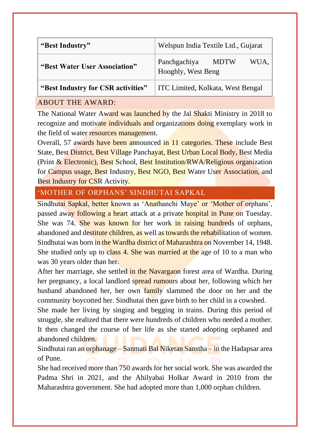| "Best Industry"                                                                                   | Welspun India Textile Ltd., Gujarat                       |
|---------------------------------------------------------------------------------------------------|-----------------------------------------------------------|
| "Best Water User Association"                                                                     | Panchgachiya<br><b>MDTW</b><br>WUA.<br>Hooghly, West Beng |
| $(D_{\text{out}} I_{\text{in}} d_{\text{in}} \sim f_{\text{out}} C D_{\text{out}} d_{\text{out}}$ | $W_{\rm C}$ Leader $V_{\rm c}$ leader $W_{\rm c}$ Denood  |

**"Best Industry for CSR activities"** ITC Limited, Kolkata, West Bengal

#### <span id="page-16-0"></span>ABOUT THE AWARD:

The National Water Award was launched by the Jal Shakti Ministry in 2018 to recognize and motivate individuals and organizations doing exemplary work in the field of water resources management.

Overall, 57 awards have been announced in 11 categories. These include Best State, Best District, Best Village Panchayat, Best Urban Local Body, Best Media (Print & Electronic), Best School, Best Institution/RWA/Religious organization for Campus usage, Best Industry, Best NGO, Best Water User Association, and Best Industry for CSR Activity.

#### <span id="page-16-1"></span>'MOTHER OF ORPHANS' SINDHUTAI SAPKAL

Sindhutai Sapkal, better known as 'Anathanchi Maye' or 'Mother of orphans', passed away following a heart attack at a private hospital in Pune on Tuesday. She was 74. She was known for her work in raising hundreds of orphans, abandoned and destitute children, as well as towards the rehabilitation of women. Sindhutai was born in the Wardha district of Maharashtra on November 14, 1948. She studied only up to class 4. She was married at the age of 10 to a man who was 30 years older than her.

After her marriage, she settled in the Navargaon forest area of Wardha. During her pregnancy, a local landlord spread rumours about her, following which her husband abandoned her, her own family slammed the door on her and the community boycotted her. Sindhutai then gave birth to her child in a cowshed.

She made her living by singing and begging in trains. During this period of struggle, she realized that there were hundreds of children who needed a mother. It then changed the course of her life as she started adopting orphaned and abandoned children.

Sindhutai ran an orphanage – Sanmati Bal Niketan Sanstha – in the Hadapsar area of Pune.

She had received more than 750 awards for her social work. She was awarded the Padma Shri in 2021, and the Ahilyabai Holkar Award in 2010 from the Maharashtra government. She had adopted more than 1,000 orphan children.